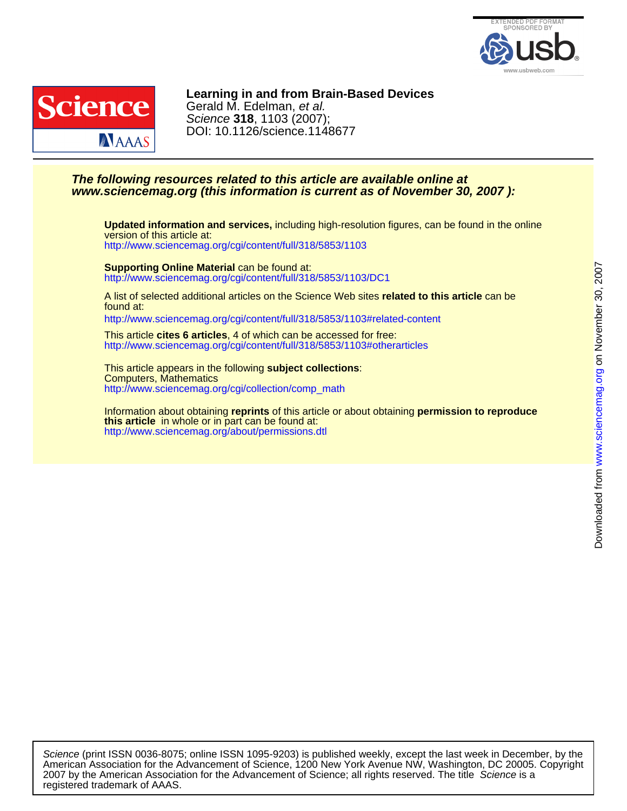



DOI: 10.1126/science.1148677 Science **318**, 1103 (2007); Gerald M. Edelman, et al. **Learning in and from Brain-Based Devices**

### **www.sciencemag.org (this information is current as of November 30, 2007 ): The following resources related to this article are available online at**

<http://www.sciencemag.org/cgi/content/full/318/5853/1103> version of this article at: **Updated information and services,** including high-resolution figures, can be found in the online

<http://www.sciencemag.org/cgi/content/full/318/5853/1103/DC1> **Supporting Online Material** can be found at:

found at: A list of selected additional articles on the Science Web sites **related to this article** can be

<http://www.sciencemag.org/cgi/content/full/318/5853/1103#related-content>

<http://www.sciencemag.org/cgi/content/full/318/5853/1103#otherarticles> This article **cites 6 articles**, 4 of which can be accessed for free:

[http://www.sciencemag.org/cgi/collection/comp\\_math](http://www.sciencemag.org/cgi/collection/comp_math) Computers, Mathematics This article appears in the following **subject collections**:

<http://www.sciencemag.org/about/permissions.dtl> **this article** in whole or in part can be found at: Information about obtaining **reprints** of this article or about obtaining **permission to reproduce**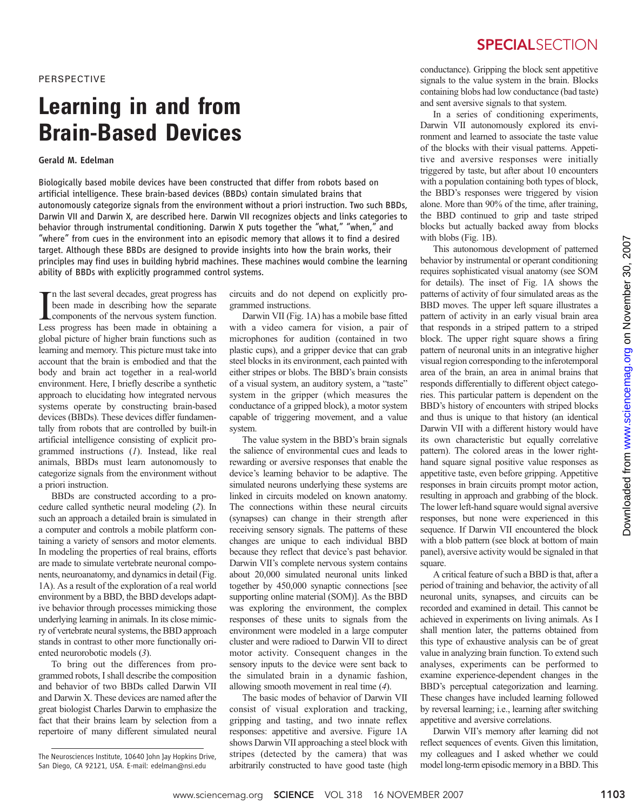### PERSPECTIVE

# Learning in and from Brain-Based Devices

#### Gerald M. Edelman

Biologically based mobile devices have been constructed that differ from robots based on artificial intelligence. These brain-based devices (BBDs) contain simulated brains that autonomously categorize signals from the environment without a priori instruction. Two such BBDs, Darwin VII and Darwin X, are described here. Darwin VII recognizes objects and links categories to behavior through instrumental conditioning. Darwin X puts together the "what," "when," and "where" from cues in the environment into an episodic memory that allows it to find a desired target. Although these BBDs are designed to provide insights into how the brain works, their principles may find uses in building hybrid machines. These machines would combine the learning ability of BBDs with explicitly programmed control systems.

In the last several decades, great progress has<br>been made in describing how the separate<br>components of the nervous system function.<br>Less progress has been made in obtaining a n the last several decades, great progress has been made in describing how the separate Less progress has been made in obtaining a global picture of higher brain functions such as learning and memory. This picture must take into account that the brain is embodied and that the body and brain act together in a real-world environment. Here, I briefly describe a synthetic approach to elucidating how integrated nervous systems operate by constructing brain-based devices (BBDs). These devices differ fundamentally from robots that are controlled by built-in artificial intelligence consisting of explicit programmed instructions (1). Instead, like real animals, BBDs must learn autonomously to categorize signals from the environment without a priori instruction.

BBDs are constructed according to a procedure called synthetic neural modeling (2). In such an approach a detailed brain is simulated in a computer and controls a mobile platform containing a variety of sensors and motor elements. In modeling the properties of real brains, efforts are made to simulate vertebrate neuronal components, neuroanatomy, and dynamics in detail (Fig. 1A). As a result of the exploration of a real world environment by a BBD, the BBD develops adaptive behavior through processes mimicking those underlying learning in animals. In its close mimicry of vertebrate neural systems, the BBD approach stands in contrast to other more functionally oriented neurorobotic models (3).

To bring out the differences from programmed robots, I shall describe the composition and behavior of two BBDs called Darwin VII and Darwin X. These devices are named after the great biologist Charles Darwin to emphasize the fact that their brains learn by selection from a repertoire of many different simulated neural circuits and do not depend on explicitly programmed instructions.

Darwin VII (Fig. 1A) has a mobile base fitted with a video camera for vision, a pair of microphones for audition (contained in two plastic cups), and a gripper device that can grab steel blocks in its environment, each painted with either stripes or blobs. The BBD's brain consists of a visual system, an auditory system, a "taste" system in the gripper (which measures the conductance of a gripped block), a motor system capable of triggering movement, and a value system.

The value system in the BBD's brain signals the salience of environmental cues and leads to rewarding or aversive responses that enable the device's learning behavior to be adaptive. The simulated neurons underlying these systems are linked in circuits modeled on known anatomy. The connections within these neural circuits (synapses) can change in their strength after receiving sensory signals. The patterns of these changes are unique to each individual BBD because they reflect that device's past behavior. Darwin VII's complete nervous system contains about 20,000 simulated neuronal units linked together by 450,000 synaptic connections [see supporting online material (SOM)]. As the BBD was exploring the environment, the complex responses of these units to signals from the environment were modeled in a large computer cluster and were radioed to Darwin VII to direct motor activity. Consequent changes in the sensory inputs to the device were sent back to the simulated brain in a dynamic fashion, allowing smooth movement in real time (4).

The basic modes of behavior of Darwin VII consist of visual exploration and tracking, gripping and tasting, and two innate reflex responses: appetitive and aversive. Figure 1A shows Darwin VII approaching a steel block with stripes (detected by the camera) that was arbitrarily constructed to have good taste (high

# **SPECIALSECTION**

conductance). Gripping the block sent appetitive signals to the value system in the brain. Blocks containing blobs had low conductance (bad taste) and sent aversive signals to that system.

In a series of conditioning experiments, Darwin VII autonomously explored its environment and learned to associate the taste value of the blocks with their visual patterns. Appetitive and aversive responses were initially triggered by taste, but after about 10 encounters with a population containing both types of block, the BBD's responses were triggered by vision alone. More than 90% of the time, after training, the BBD continued to grip and taste striped blocks but actually backed away from blocks with blobs (Fig. 1B).

This autonomous development of patterned behavior by instrumental or operant conditioning requires sophisticated visual anatomy (see SOM for details). The inset of Fig. 1A shows the patterns of activity of four simulated areas as the BBD moves. The upper left square illustrates a pattern of activity in an early visual brain area that responds in a striped pattern to a striped block. The upper right square shows a firing pattern of neuronal units in an integrative higher visual region corresponding to the inferotemporal area of the brain, an area in animal brains that responds differentially to different object categories. This particular pattern is dependent on the BBD's history of encounters with striped blocks and thus is unique to that history (an identical Darwin VII with a different history would have its own characteristic but equally correlative pattern). The colored areas in the lower righthand square signal positive value responses as appetitive taste, even before gripping. Appetitive responses in brain circuits prompt motor action, resulting in approach and grabbing of the block. The lower left-hand square would signal aversive responses, but none were experienced in this sequence. If Darwin VII encountered the block with a blob pattern (see block at bottom of main panel), aversive activity would be signaled in that square. erialon engine the state of visible of trigoning between the basis of the basis of the state of the state of the state of the state of the state of the state of the state of the state of the state of the state of the sta

A critical feature of such a BBD is that, after a period of training and behavior, the activity of all neuronal units, synapses, and circuits can be recorded and examined in detail. This cannot be achieved in experiments on living animals. As I shall mention later, the patterns obtained from this type of exhaustive analysis can be of great value in analyzing brain function. To extend such analyses, experiments can be performed to examine experience-dependent changes in the BBD's perceptual categorization and learning. These changes have included learning followed by reversal learning; i.e., learning after switching appetitive and aversive correlations.

Darwin VII's memory after learning did not reflect sequences of events. Given this limitation, my colleagues and I asked whether we could model long-term episodic memory in a BBD. This

The Neurosciences Institute, 10640 John Jay Hopkins Drive, San Diego, CA 92121, USA. E-mail: edelman@nsi.edu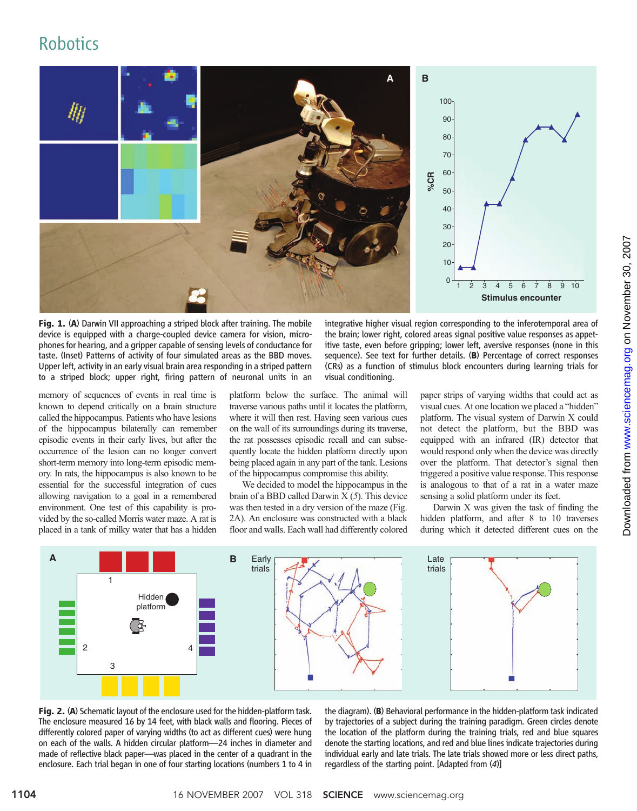# **Robotics**



Fig. 1. (A) Darwin VII approaching a striped block after training. The mobile device is equipped with a charge-coupled device camera for vision, microphones for hearing, and a gripper capable of sensing levels of conductance for taste. (Inset) Patterns of activity of four simulated areas as the BBD moves. Upper left, activity in an early visual brain area responding in a striped pattern to a striped block; upper right, firing pattern of neuronal units in an

memory of sequences of events in real time is known to depend critically on a brain structure called the hippocampus. Patients who have lesions of the hippocampus bilaterally can remember episodic events in their early lives, but after the occurrence of the lesion can no longer convert short-term memory into long-term episodic memory. In rats, the hippocampus is also known to be essential for the successful integration of cues allowing navigation to a goal in a remembered environment. One test of this capability is provided by the so-called Morris water maze. A rat is placed in a tank of milky water that has a hidden

platform below the surface. The animal will traverse various paths until it locates the platform, where it will then rest. Having seen various cues on the wall of its surroundings during its traverse, the rat possesses episodic recall and can subsequently locate the hidden platform directly upon being placed again in any part of the tank. Lesions of the hippocampus compromise this ability.

visual conditioning.

We decided to model the hippocampus in the brain of a BBD called Darwin X (5). This device was then tested in a dry version of the maze (Fig. 2A). An enclosure was constructed with a black floor and walls. Each wall had differently colored

paper strips of varying widths that could act as visual cues. At one location we placed a "hidden" platform. The visual system of Darwin X could not detect the platform, but the BBD was equipped with an infrared (IR) detector that would respond only when the device was directly over the platform. That detector's signal then triggered a positive value response. This response is analogous to that of a rat in a water maze sensing a solid platform under its feet.

the brain; lower right, colored areas signal positive value responses as appetitive taste, even before gripping; lower left, aversive responses (none in this sequence). See text for further details. (B) Percentage of correct responses (CRs) as a function of stimulus block encounters during learning trials for

> Darwin X was given the task of finding the hidden platform, and after 8 to 10 traverses during which it detected different cues on the



Fig. 2. (A) Schematic layout of the enclosure used for the hidden-platform task. The enclosure measured 16 by 14 feet, with black walls and flooring. Pieces of differently colored paper of varying widths (to act as different cues) were hung on each of the walls. A hidden circular platform—24 inches in diameter and made of reflective black paper—was placed in the center of a quadrant in the enclosure. Each trial began in one of four starting locations (numbers 1 to 4 in the diagram). (B) Behavioral performance in the hidden-platform task indicated by trajectories of a subject during the training paradigm. Green circles denote the location of the platform during the training trials, red and blue squares denote the starting locations, and red and blue lines indicate trajectories during individual early and late trials. The late trials showed more or less direct paths, regardless of the starting point. [Adapted from (4)]